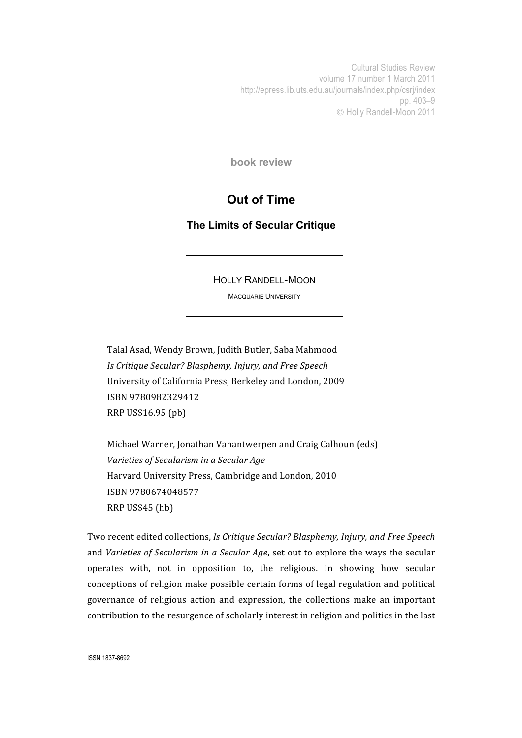Cultural Studies Review volume 17 number 1 March 2011 http://epress.lib.uts.edu.au/journals/index.php/csrj/index pp. 403–9 Holly Randell-Moon 2011

**book review**

## **Out of Time**

**The Limits of Secular Critique**

HOLLY RANDELL-MOON

MACQUARIE UNIVERSITY

Talal
Asad,
Wendy
Brown,
Judith
Butler,
Saba
Mahmood *Is
Critique
Secular?
Blasphemy,
Injury,
and
Free
Speech* University
of
California
Press,
Berkeley
and
London,
2009 ISBN
9780982329412 RRP
US\$16.95
(pb)

Michael
Warner,
Jonathan
Vanantwerpen
and
Craig
Calhoun
(eds) *Varieties
of
Secularism
in
a
Secular
Age* Harvard
University
Press,
Cambridge
and
London,
2010 ISBN
9780674048577 RRP
US\$45
(hb)

Two
recent
edited
collections, *Is
Critique
Secular?
Blasphemy,
Injury,
and
Free
Speech*  and Varieties of Secularism in a Secular Age, set out to explore the ways the secular operates
 with,
 not
 in
 opposition
 to,
 the
 religious.
 In
 showing
 how
 secular conceptions
of
religion
make
possible
certain
forms
of
legal
regulation
and
political governance
 of
 religious
 action
 and
 expression,
 the
 collections
 make
 an
 important contribution to the resurgence of scholarly interest in religion and politics in the last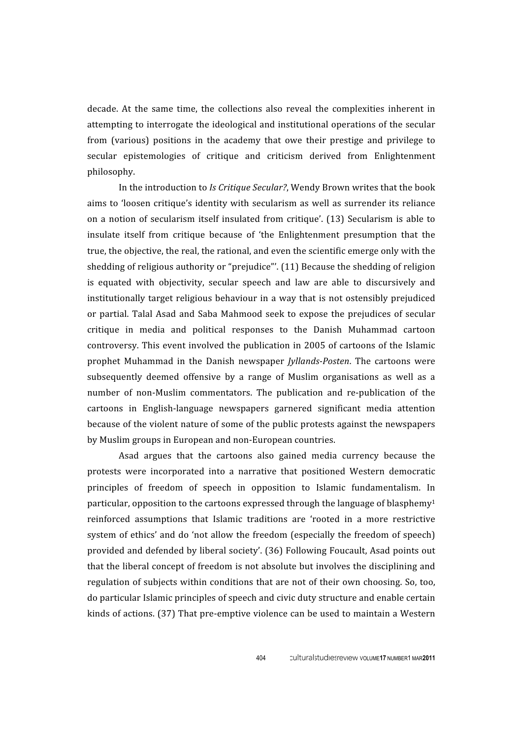decade. At the same time, the collections also reveal the complexities inherent in attempting to interrogate the ideological and institutional operations of the secular from (various) positions in the academy that owe their prestige and privilege to secular
 epistemologies
 of
 critique
 and
 criticism
 derived
 from
 Enlightenment philosophy.

In the introduction to *Is Critique Secular?*, Wendy Brown writes that the book aims to 'loosen critique's identity with secularism as well as surrender its reliance on a notion of secularism itself insulated from critique'. (13) Secularism is able to insulate
 itself
 from
 critique
 because
 of 'the
 Enlightenment
 presumption
 that
 the true, the objective, the real, the rational, and even the scientific emerge only with the shedding of religious authority or "prejudice"'. (11) Because the shedding of religion is equated with objectivity, secular speech and law are able to discursively and institutionally
 target
 religious
behaviour
in
a
way
 that
is
not
ostensibly
prejudiced or partial. Talal Asad and Saba Mahmood seek to expose the prejudices of secular critique
 in
 media
 and
 political
 responses
 to
 the
 Danish
 Muhammad
 cartoon controversy.
This
event
involved
 the
publication
in
2005
of
cartoons
of
 the
 Islamic prophet Muhammad in the Danish newspaper *Jyllands-Posten*. The cartoons were subsequently deemed offensive by a range of Muslim organisations as well as a number of non-Muslim commentators. The publication and re-publication of the cartoons
 in
 English‐language
 newspapers
 garnered
 significant
 media
 attention because
of
the
violent
nature
of
some
of
the
public
protests
against
the
newspapers by
Muslim
groups
in
European
and
non‐European
countries.

Asad
 argues
 that
 the
 cartoons
 also
 gained
 media
 currency
 because
 the protests
 were
 incorporated
 into
 a
 narrative that
 positioned
 Western
 democratic principles of freedom of speech in opposition to Islamic fundamentalism. In particular, opposition to the cartoons expressed through the language of blasphemy<sup>1</sup> reinforced assumptions that Islamic traditions are 'rooted in a more restrictive system of ethics' and do 'not allow the freedom (especially the freedom of speech) provided
and
defended
by
liberal
society'.
(36)
Following
Foucault,
Asad
points
out that
the
liberal
concept
of
freedom
is
not
absolute
but
involves
the
disciplining
and regulation of subjects within conditions that are not of their own choosing. So, too, do
particular
Islamic
principles
of
speech
and
civic
duty
structure
and
enable
certain kinds of actions. (37) That pre-emptive violence can be used to maintain a Western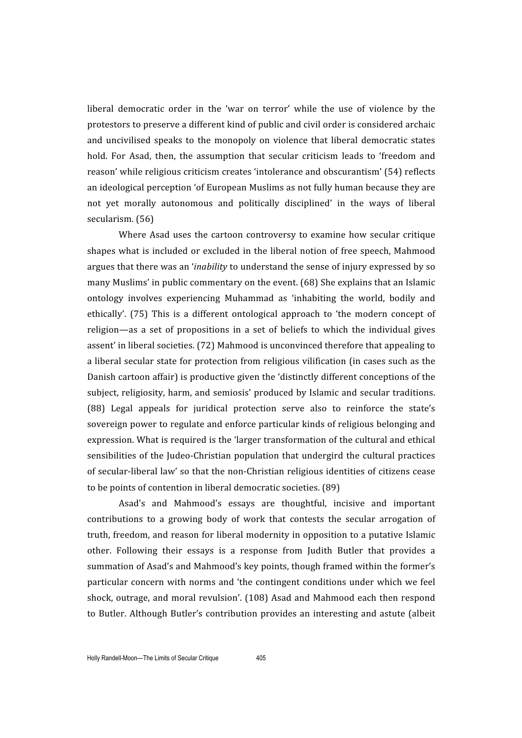liberal democratic order in the 'war on terror' while the use of violence by the protestors
to
preserve
a
different
kind
of
public
and
civil
order
is
considered
archaic and
 uncivilised
 speaks
 to
 the
 monopoly
 on
 violence
 that
 liberal
 democratic
 states hold. For Asad, then, the assumption that secular criticism leads to 'freedom and reason' while religious criticism creates 'intolerance and obscurantism' (54) reflects an
ideological
perception
'of
European
Muslims
as
not
fully
human
because
they
are not yet morally autonomous and politically disciplined' in the ways of liberal secularism.
(56)

Where Asad uses the cartoon controversy to examine how secular critique shapes
what
is
included
or
excluded
in
 the
liberal
notion
of
 free
speech,
Mahmood argues
that
there
was
an
'*inability* to
understand
the
sense
of
injury
expressed
by
so many
Muslims'
in
public
commentary
on
the
event.
(68)
She
explains
that
an
Islamic ontology
 involves
 experiencing
 Muhammad
 as 'inhabiting
 the
 world,
 bodily
 and ethically'. (75) This is a different ontological approach to 'the modern concept of religion—as a set of propositions in a set of beliefs to which the individual gives assent'
in
liberal
societies.
(72)
Mahmood
is
unconvinced
therefore
that
appealing
to a liberal secular state for protection from religious vilification (in cases such as the Danish cartoon affair) is productive given the 'distinctly different conceptions of the subject, religiosity, harm, and semiosis' produced by Islamic and secular traditions. (88)
 Legal
 appeals
 for
 juridical
 protection
 serve
 also
 to
 reinforce
 the
 state's sovereign
power
to
regulate
and
enforce
particular
kinds
of
religious
belonging
and expression. What is required is the 'larger transformation of the cultural and ethical sensibilities of the Judeo-Christian population that undergird the cultural practices of
secular‐liberal
law'
so
that
the
non‐Christian
religious
identities
of
citizens
cease to
be
points
of
contention
in
liberal
democratic
societies.
(89)

Asad's
 and
 Mahmood's
 essays
 are
 thoughtful,
 incisive
 and
 important contributions to a growing body of work that contests the secular arrogation of truth,
freedom,
and
reason
for
liberal
modernity
in
opposition
to
a
putative
Islamic other. Following their essays is a response from Judith Butler that provides a summation
of
Asad's
and
Mahmood's
key
points,
though
framed
within
the
former's particular
concern
with
norms
and
'the
contingent
conditions
under
which
we
 feel shock,
outrage,
and
moral
revulsion'.
 (108)
Asad
and
Mahmood
each
 then
respond to Butler. Although Butler's contribution provides an interesting and astute (albeit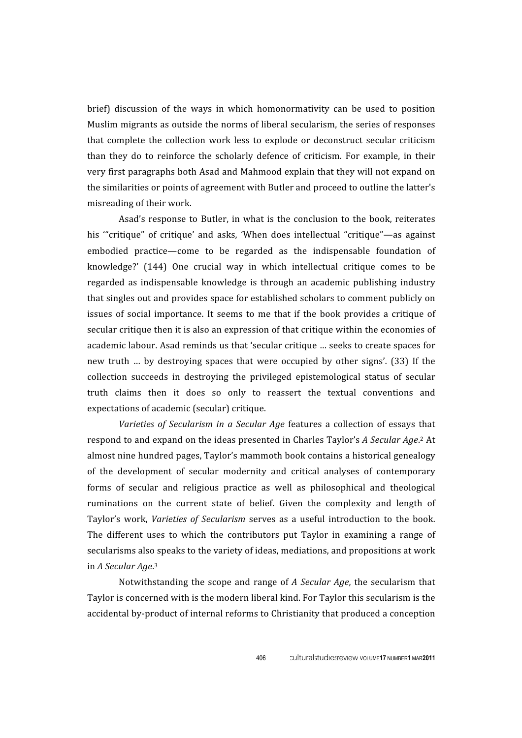brief) discussion of the ways in which homonormativity can be used to position Muslim migrants as outside the norms of liberal secularism, the series of responses that complete the collection work less to explode or deconstruct secular criticism than they do to reinforce the scholarly defence of criticism. For example, in their very
first
paragraphs
both
Asad
and
Mahmood
explain
that
they
will
not
expand
on the similarities or points of agreement with Butler and proceed to outline the latter's misreading
of
their
work.

Asad's
 response
 to
Butler,
in
what
is
 the
 conclusion
 to
 the
 book,
 reiterates his "critique" of critique' and asks, 'When does intellectual "critique"—as against embodied practice—come to be regarded as the indispensable foundation of knowledge?' (144) One crucial way in which intellectual critique comes to be regarded
 as
 indispensable
 knowledge
 is
 through
 an
 academic
 publishing
 industry that
singles
out
and
provides
space
for
established
scholars
to
comment
publicly
on issues of social importance. It seems to me that if the book provides a critique of secular critique then it is also an expression of that critique within the economies of academic
labour.
Asad
reminds
us
that
'secular
critique
…
seeks
to
create
spaces
for new truth ... by destroying spaces that were occupied by other signs'. (33) If the collection
 succeeds
 in
 destroying
 the
 privileged
 epistemological
 status
 of
 secular truth claims then it does so only to reassert the textual conventions and expectations
of
academic
(secular)
critique.

Varieties of Secularism in a Secular Age features a collection of essays that respond to and expand on the ideas presented in Charles Taylor's A Secular Age.<sup>2</sup> At almost
nine
hundred
pages,
Taylor's
mammoth
book
contains
a
historical
genealogy of the development of secular modernity and critical analyses of contemporary forms of secular and religious practice as well as philosophical and theological ruminations on the current state of belief. Given the complexity and length of Taylor's work, *Varieties of Secularism* serves as a useful introduction to the book. The different uses to which the contributors put Taylor in examining a range of secularisms also speaks to the variety of ideas, mediations, and propositions at work in *A
Secular
Age*. 3

Notwithstanding the scope and range of *A Secular Age*, the secularism that Taylor
is
concerned
with
is
the
modern
liberal
kind.
For
Taylor
this
secularism
is
the accidental
by‐product
of
internal
reforms
to
Christianity
that
produced
a
conception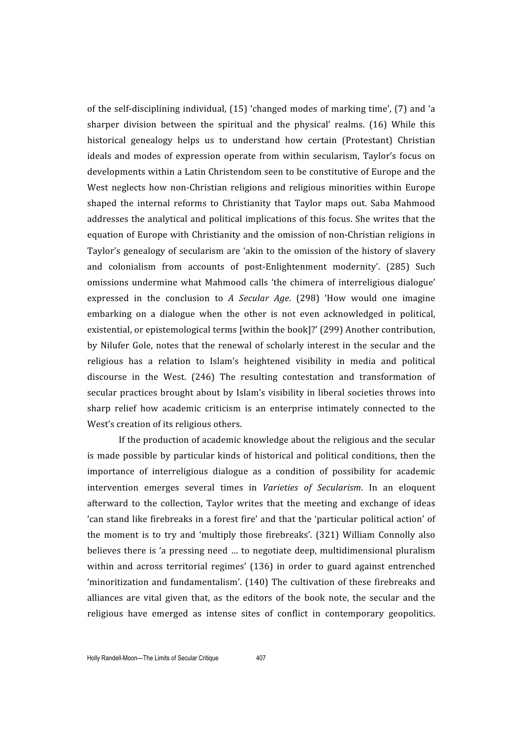of the self-disciplining individual, (15) 'changed modes of marking time', (7) and 'a sharper division between the spiritual and the physical' realms. (16) While this historical genealogy helps us to understand how certain (Protestant) Christian ideals and modes of expression operate from within secularism, Taylor's focus on developments
within
a
Latin
Christendom
seen
to
be
constitutive
of
Europe
and
the West neglects how non-Christian religions and religious minorities within Europe shaped the internal reforms to Christianity that Taylor maps out. Saba Mahmood addresses the analytical and political implications of this focus. She writes that the equation of Europe with Christianity and the omission of non-Christian religions in Taylor's genealogy of secularism are 'akin to the omission of the history of slavery and colonialism from accounts of post-Enlightenment modernity'. (285) Such omissions
 undermine
 what
Mahmood
 calls 'the
 chimera
 of
interreligious
 dialogue' expressed in the conclusion to A Secular Age. (298) 'How would one imagine embarking on a dialogue when the other is not even acknowledged in political. existential,
or
epistemological
terms
[within
the
book]?'
(299)
Another
contribution, by Nilufer Gole, notes that the renewal of scholarly interest in the secular and the religious has a relation to Islam's heightened visibility in media and political discourse in the West. (246) The resulting contestation and transformation of secular practices brought about by Islam's visibility in liberal societies throws into sharp relief how academic criticism is an enterprise intimately connected to the West's creation of its religious others.

If the production of academic knowledge about the religious and the secular is made possible by particular kinds of historical and political conditions, then the importance of interreligious dialogue as a condition of possibility for academic intervention emerges several times in *Varieties of Secularism*. In an eloquent afterward to the collection, Taylor writes that the meeting and exchange of ideas 'can stand like firebreaks in a forest fire' and that the 'particular political action' of the moment is to try and 'multiply those firebreaks'. (321) William Connolly also believes there is 'a pressing need ... to negotiate deep, multidimensional pluralism within and across territorial regimes' (136) in order to guard against entrenched 'minoritization
and
 fundamentalism'.
 (140)
The
 cultivation
 of
 these
 firebreaks
and alliances
 are
 vital
 given
 that,
 as
 the
 editors
 of
 the
 book
 note,
 the
 secular
 and
 the religious have emerged as intense sites of conflict in contemporary geopolitics.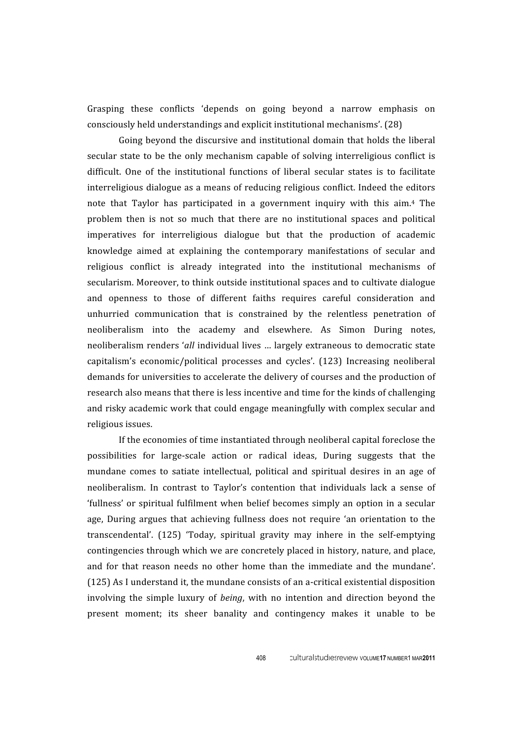Grasping these conflicts 'depends on going beyond a narrow emphasis on consciously
held
understandings
and
explicit
institutional
mechanisms'.
(28)

Going beyond the discursive and institutional domain that holds the liberal secular state to be the only mechanism capable of solving interreligious conflict is difficult. One of the institutional functions of liberal secular states is to facilitate interreligious
dialogue
as
a
means
of
reducing
religious
conflict.
 Indeed
 the
editors note that Taylor has participated in a government inquiry with this aim.<sup>4</sup> The problem then is not so much that there are no institutional spaces and political imperatives
 for
 interreligious
 dialogue
 but
 that
 the
 production
 of
 academic knowledge aimed at explaining the contemporary manifestations of secular and religious conflict is already integrated into the institutional mechanisms of secularism. Moreover, to think outside institutional spaces and to cultivate dialogue and
 openness
 to
 those
 of
 different
 faiths
 requires
 careful
 consideration
 and unhurried communication that is constrained by the relentless penetration of neoliberalism
 into
 the
 academy
 and
 elsewhere.
 As
 Simon
 During
 notes, neoliberalism
renders
'*all* individual
lives
…
largely
extraneous
 to
democratic
state capitalism's
 economic/political
 processes
 and
 cycles'.
 (123)
 Increasing
 neoliberal demands
for
universities
to
accelerate
the
delivery
of
courses
and
the
production
of research also means that there is less incentive and time for the kinds of challenging and
risky
academic
work
that
could
engage
meaningfully
with
complex
secular
and religious
issues.

If
the
economies
of
time
instantiated
through
neoliberal
capital
foreclose
the possibilities
 for
 large‐scale
 action
 or
 radical
 ideas,
 During
 suggests
 that
 the mundane comes to satiate intellectual, political and spiritual desires in an age of neoliberalism. In contrast to Taylor's contention that individuals lack a sense of 'fullness' or spiritual fulfilment when belief becomes simply an option in a secular age, During argues that achieving fullness does not require 'an orientation to the transcendental'.
 (125) 'Today,
 spiritual
 gravity
 may
 inhere
 in
 the
 self‐emptying contingencies
through
which
we
are
concretely
placed
in
history,
nature,
and
place, and for that reason needs no other home than the immediate and the mundane'. (125)
As
I
understand
it,
the
mundane
consists
of
an
a‐critical
existential
disposition involving the simple luxury of *being*, with no intention and direction beyond the present moment; its sheer banality and contingency makes it unable to be